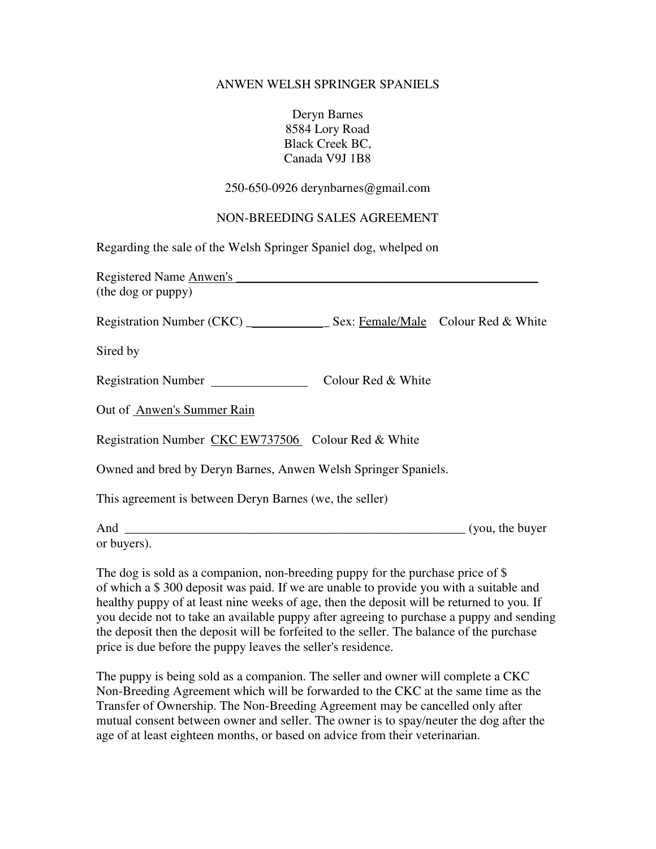## ANWEN WELSH SPRINGER SPANIELS

Deryn Barnes 8584 Lory Road Black Creek BC, Canada V9J 1B8

250-650-0926 derynbarnes@gmail.com

## NON-BREEDING SALES AGREEMENT

Regarding the sale of the Welsh Springer Spaniel dog, whelped on

| Registered Name Anwen's                                        |                    |                               |
|----------------------------------------------------------------|--------------------|-------------------------------|
| (the dog or puppy)                                             |                    |                               |
|                                                                |                    |                               |
| Sired by                                                       |                    |                               |
| Registration Number                                            | Colour Red & White |                               |
| Out of Anwen's Summer Rain                                     |                    |                               |
| Registration Number CKC EW737506 Colour Red & White            |                    |                               |
| Owned and bred by Deryn Barnes, Anwen Welsh Springer Spaniels. |                    |                               |
| This agreement is between Deryn Barnes (we, the seller)        |                    |                               |
| And                                                            |                    | $\frac{1}{2}$ (you, the buyer |

or buyers).

The dog is sold as a companion, non-breeding puppy for the purchase price of \$ of which a \$ 300 deposit was paid. If we are unable to provide you with a suitable and healthy puppy of at least nine weeks of age, then the deposit will be returned to you. If you decide not to take an available puppy after agreeing to purchase a puppy and sending the deposit then the deposit will be forfeited to the seller. The balance of the purchase price is due before the puppy leaves the seller's residence.

The puppy is being sold as a companion. The seller and owner will complete a CKC Non-Breeding Agreement which will be forwarded to the CKC at the same time as the Transfer of Ownership. The Non-Breeding Agreement may be cancelled only after mutual consent between owner and seller. The owner is to spay/neuter the dog after the age of at least eighteen months, or based on advice from their veterinarian.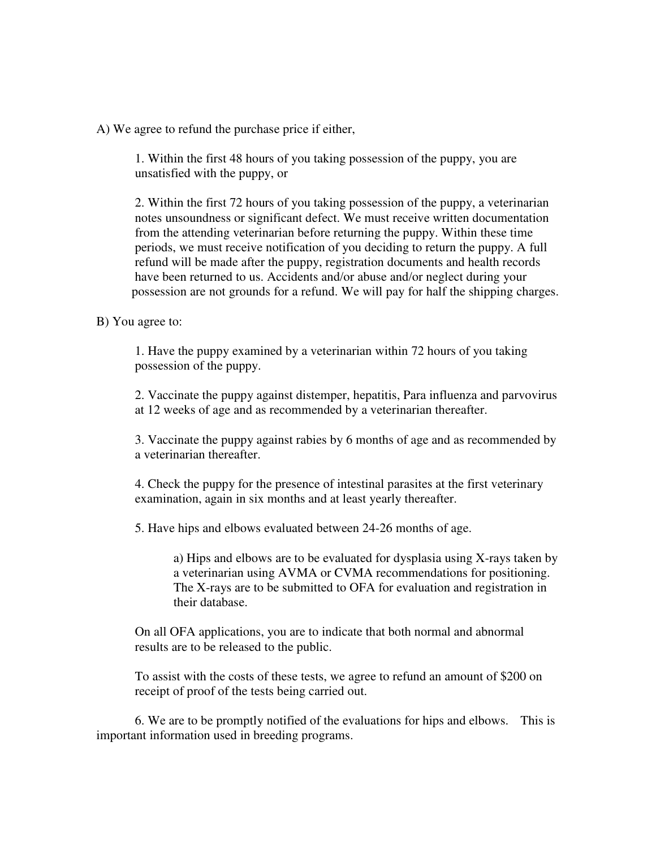A) We agree to refund the purchase price if either,

 1. Within the first 48 hours of you taking possession of the puppy, you are unsatisfied with the puppy, or

 2. Within the first 72 hours of you taking possession of the puppy, a veterinarian notes unsoundness or significant defect. We must receive written documentation from the attending veterinarian before returning the puppy. Within these time periods, we must receive notification of you deciding to return the puppy. A full refund will be made after the puppy, registration documents and health records have been returned to us. Accidents and/or abuse and/or neglect during your possession are not grounds for a refund. We will pay for half the shipping charges.

## B) You agree to:

 1. Have the puppy examined by a veterinarian within 72 hours of you taking possession of the puppy.

 2. Vaccinate the puppy against distemper, hepatitis, Para influenza and parvovirus at 12 weeks of age and as recommended by a veterinarian thereafter.

 3. Vaccinate the puppy against rabies by 6 months of age and as recommended by a veterinarian thereafter.

 4. Check the puppy for the presence of intestinal parasites at the first veterinary examination, again in six months and at least yearly thereafter.

5. Have hips and elbows evaluated between 24-26 months of age.

 a) Hips and elbows are to be evaluated for dysplasia using X-rays taken by a veterinarian using AVMA or CVMA recommendations for positioning. The X-rays are to be submitted to OFA for evaluation and registration in their database.

 On all OFA applications, you are to indicate that both normal and abnormal results are to be released to the public.

 To assist with the costs of these tests, we agree to refund an amount of \$200 on receipt of proof of the tests being carried out.

 6. We are to be promptly notified of the evaluations for hips and elbows. This is important information used in breeding programs.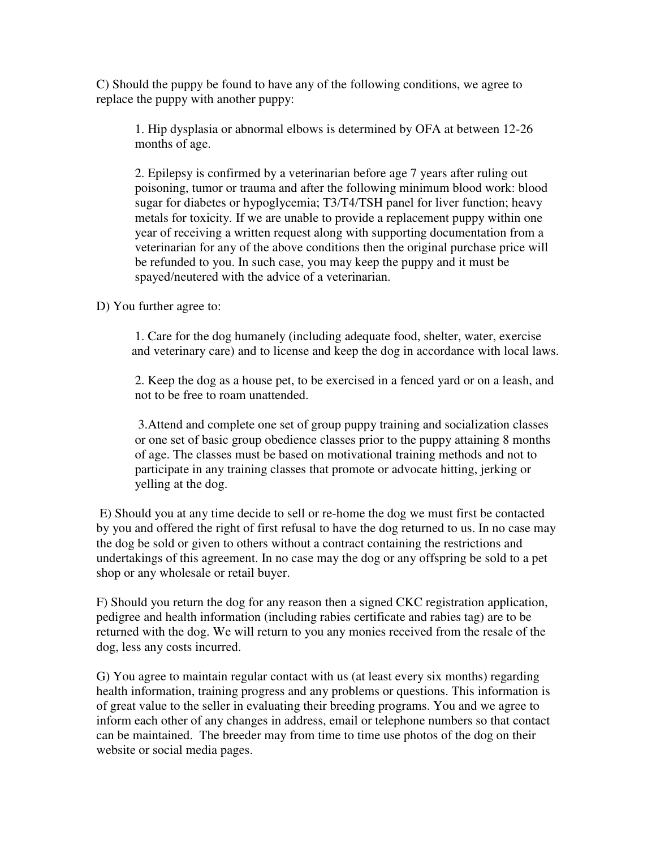C) Should the puppy be found to have any of the following conditions, we agree to replace the puppy with another puppy:

 1. Hip dysplasia or abnormal elbows is determined by OFA at between 12-26 months of age.

 2. Epilepsy is confirmed by a veterinarian before age 7 years after ruling out poisoning, tumor or trauma and after the following minimum blood work: blood sugar for diabetes or hypoglycemia; T3/T4/TSH panel for liver function; heavy metals for toxicity. If we are unable to provide a replacement puppy within one year of receiving a written request along with supporting documentation from a veterinarian for any of the above conditions then the original purchase price will be refunded to you. In such case, you may keep the puppy and it must be spayed/neutered with the advice of a veterinarian.

D) You further agree to:

 1. Care for the dog humanely (including adequate food, shelter, water, exercise and veterinary care) and to license and keep the dog in accordance with local laws.

 2. Keep the dog as a house pet, to be exercised in a fenced yard or on a leash, and not to be free to roam unattended.

 3.Attend and complete one set of group puppy training and socialization classes or one set of basic group obedience classes prior to the puppy attaining 8 months of age. The classes must be based on motivational training methods and not to participate in any training classes that promote or advocate hitting, jerking or yelling at the dog.

 E) Should you at any time decide to sell or re-home the dog we must first be contacted by you and offered the right of first refusal to have the dog returned to us. In no case may the dog be sold or given to others without a contract containing the restrictions and undertakings of this agreement. In no case may the dog or any offspring be sold to a pet shop or any wholesale or retail buyer.

F) Should you return the dog for any reason then a signed CKC registration application, pedigree and health information (including rabies certificate and rabies tag) are to be returned with the dog. We will return to you any monies received from the resale of the dog, less any costs incurred.

G) You agree to maintain regular contact with us (at least every six months) regarding health information, training progress and any problems or questions. This information is of great value to the seller in evaluating their breeding programs. You and we agree to inform each other of any changes in address, email or telephone numbers so that contact can be maintained. The breeder may from time to time use photos of the dog on their website or social media pages.